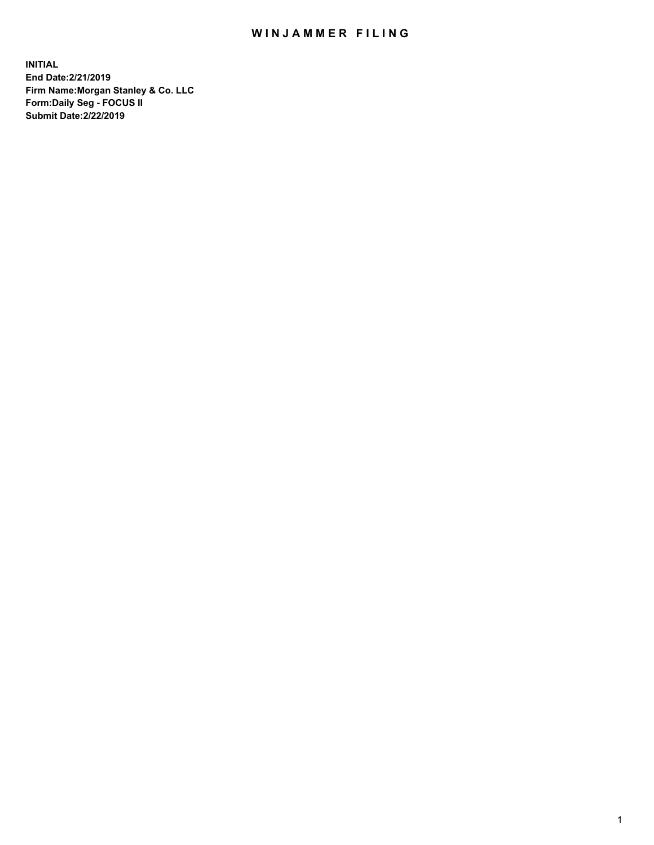## WIN JAMMER FILING

**INITIAL End Date:2/21/2019 Firm Name:Morgan Stanley & Co. LLC Form:Daily Seg - FOCUS II Submit Date:2/22/2019**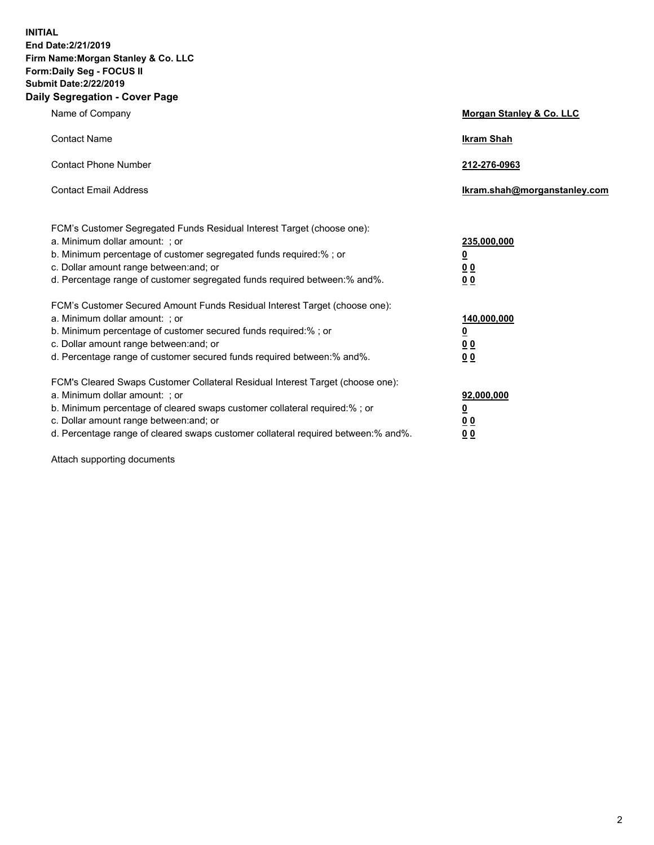**INITIAL End Date:2/21/2019 Firm Name:Morgan Stanley & Co. LLC Form:Daily Seg - FOCUS II Submit Date:2/22/2019 Daily Segregation - Cover Page**

| Name of Company                                                                                                                                                                                                                                                                                                                | Morgan Stanley & Co. LLC                               |
|--------------------------------------------------------------------------------------------------------------------------------------------------------------------------------------------------------------------------------------------------------------------------------------------------------------------------------|--------------------------------------------------------|
| <b>Contact Name</b>                                                                                                                                                                                                                                                                                                            | <b>Ikram Shah</b>                                      |
| <b>Contact Phone Number</b>                                                                                                                                                                                                                                                                                                    | 212-276-0963                                           |
| <b>Contact Email Address</b>                                                                                                                                                                                                                                                                                                   | Ikram.shah@morganstanley.com                           |
| FCM's Customer Segregated Funds Residual Interest Target (choose one):<br>a. Minimum dollar amount: ; or<br>b. Minimum percentage of customer segregated funds required:% ; or<br>c. Dollar amount range between: and; or<br>d. Percentage range of customer segregated funds required between:% and%.                         | 235,000,000<br><u>0</u><br><u>00</u><br>0 <sub>0</sub> |
| FCM's Customer Secured Amount Funds Residual Interest Target (choose one):<br>a. Minimum dollar amount: ; or<br>b. Minimum percentage of customer secured funds required:% ; or<br>c. Dollar amount range between: and; or<br>d. Percentage range of customer secured funds required between:% and%.                           | 140,000,000<br><u>0</u><br>0 <sub>0</sub><br>00        |
| FCM's Cleared Swaps Customer Collateral Residual Interest Target (choose one):<br>a. Minimum dollar amount: ; or<br>b. Minimum percentage of cleared swaps customer collateral required:% ; or<br>c. Dollar amount range between: and; or<br>d. Percentage range of cleared swaps customer collateral required between:% and%. | 92,000,000<br><u>0</u><br><u>00</u><br>00              |

Attach supporting documents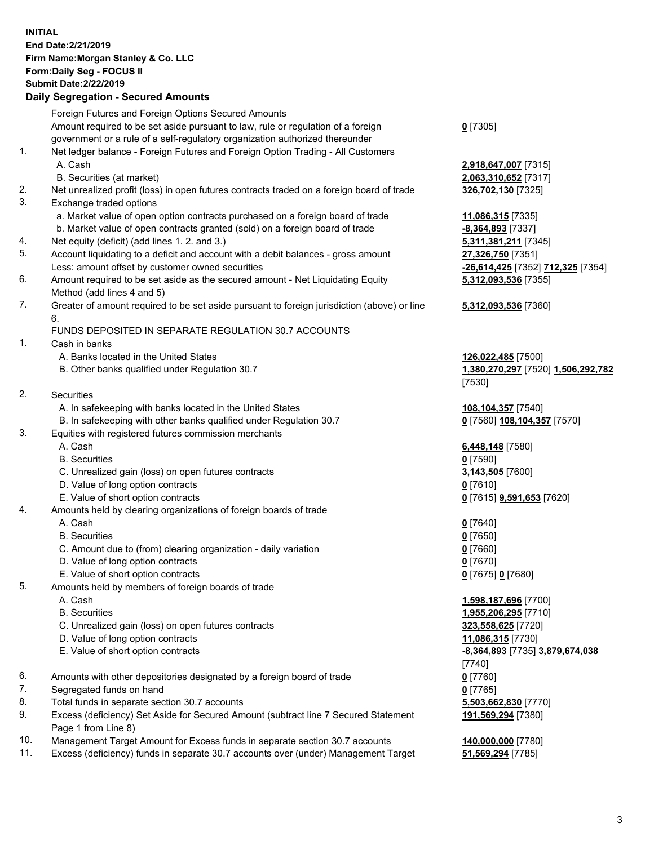## **INITIAL End Date:2/21/2019 Firm Name:Morgan Stanley & Co. LLC Form:Daily Seg - FOCUS II Submit Date:2/22/2019 Daily Segregation - Secured Amounts**

|          | Foreign Futures and Foreign Options Secured Amounts                                               |                      |
|----------|---------------------------------------------------------------------------------------------------|----------------------|
|          | Amount required to be set aside pursuant to law, rule or regulation of a foreign                  | $0$ [7305]           |
|          | government or a rule of a self-regulatory organization authorized thereunder                      |                      |
| 1.       | Net ledger balance - Foreign Futures and Foreign Option Trading - All Customers                   |                      |
|          | A. Cash                                                                                           | 2,918,64             |
|          | B. Securities (at market)                                                                         | 2,063,31             |
| 2.       | Net unrealized profit (loss) in open futures contracts traded on a foreign board of trade         | 326,702              |
| 3.       | Exchange traded options                                                                           |                      |
|          | a. Market value of open option contracts purchased on a foreign board of trade                    | 11,086,3             |
|          | b. Market value of open contracts granted (sold) on a foreign board of trade                      | $-8,364,8$           |
| 4.       | Net equity (deficit) (add lines 1.2. and 3.)                                                      | 5,311,38             |
| 5.       | Account liquidating to a deficit and account with a debit balances - gross amount                 | 27,326,7             |
|          | Less: amount offset by customer owned securities                                                  | $-26,614,$           |
| 6.       | Amount required to be set aside as the secured amount - Net Liquidating Equity                    | 5,312,09             |
| 7.       | Method (add lines 4 and 5)                                                                        |                      |
|          | Greater of amount required to be set aside pursuant to foreign jurisdiction (above) or line<br>6. | 5,312,09             |
|          | FUNDS DEPOSITED IN SEPARATE REGULATION 30.7 ACCOUNTS                                              |                      |
| 1.       | Cash in banks                                                                                     |                      |
|          | A. Banks located in the United States                                                             | 126,022              |
|          | B. Other banks qualified under Regulation 30.7                                                    | <u>1,380,27</u>      |
|          |                                                                                                   | $[7530]$             |
| 2.       | Securities                                                                                        |                      |
|          | A. In safekeeping with banks located in the United States                                         | 108,104              |
|          | B. In safekeeping with other banks qualified under Regulation 30.7                                | $0$ [7560]           |
| 3.       | Equities with registered futures commission merchants                                             |                      |
|          | A. Cash                                                                                           | 6,448,14             |
|          | <b>B.</b> Securities                                                                              | $0$ [7590]           |
|          | C. Unrealized gain (loss) on open futures contracts                                               | 3,143,50             |
|          | D. Value of long option contracts                                                                 | $0$ [7610]           |
|          | E. Value of short option contracts                                                                | $0$ [7615]           |
| 4.       | Amounts held by clearing organizations of foreign boards of trade                                 |                      |
|          | A. Cash                                                                                           | $0$ [7640]           |
|          | <b>B.</b> Securities                                                                              | $0$ [7650]           |
|          | C. Amount due to (from) clearing organization - daily variation                                   | 0 [7660]             |
|          | D. Value of long option contracts                                                                 | $0$ [7670]           |
|          | E. Value of short option contracts                                                                | $0$ [7675]           |
| 5.       | Amounts held by members of foreign boards of trade                                                |                      |
|          | A. Cash                                                                                           | 1,598,18             |
|          | <b>B.</b> Securities                                                                              | 1,955,20             |
|          | C. Unrealized gain (loss) on open futures contracts                                               | 323,558              |
|          | D. Value of long option contracts                                                                 | 11,086,3             |
|          | E. Value of short option contracts                                                                | $-8,364,8$           |
|          |                                                                                                   | $\left[ 7740\right]$ |
| 6.       | Amounts with other depositories designated by a foreign board of trade                            | $0$ [7760]           |
| 7.       | Segregated funds on hand                                                                          | 0 <sup>[7765]</sup>  |
| 8.<br>9. | Total funds in separate section 30.7 accounts                                                     | 5,503,66             |
|          | Excess (deficiency) Set Aside for Secured Amount (subtract line 7 Secured Statement               | 191,569              |
|          | Page 1 from Line 8)                                                                               |                      |

- 10. Management Target Amount for Excess funds in separate section 30.7 accounts **140,000,000** [7780]
- 11. Excess (deficiency) funds in separate 30.7 accounts over (under) Management Target **51,569,294** [7785]

 A. Cash **2,918,647,007** [7315] B. Securities (at market) **2,063,310,652** [7317] 226,702,130 [7325]

 a. Market value of open option contracts purchased on a foreign board of trade **11,086,315** [7335]  $-8,364,893$  [7337] 5,311,381,211 [7345] **27,326,750** [7351] Less: amount offset by customer owned securities **-26,614,425** [7352] **712,325** [7354] **5,312,093,536** [7355]

## **5,312,093,536** [7360]

 A. Banks located in the United States **126,022,485** [7500] B. Other banks qualified under Regulation 30.7 **1,380,270,297** [7520] **1,506,292,782** [7530]

 A. In safekeeping with banks located in the United States **108,104,357** [7540]  $\underline{0}$  [7560] 108,104,357 [7570]

 A. Cash **6,448,148** [7580] **3,143,505** [7600] E. Value of short option contracts **0** [7615] **9,591,653** [7620]

E. Value of short option contracts **0** [7675] **0** [7680]

 A. Cash **1,598,187,696** [7700] B. Securities **1,955,206,295** [7710] C. Unrealized gain (loss) on open futures contracts **323,558,625** [7720] D. Value of long option contracts **11,086,315** [7730] E. Value of short option contracts **-8,364,893** [7735] **3,879,674,038** [7740]  $5,503,662,830$  [7770] **191,569,294** [7380]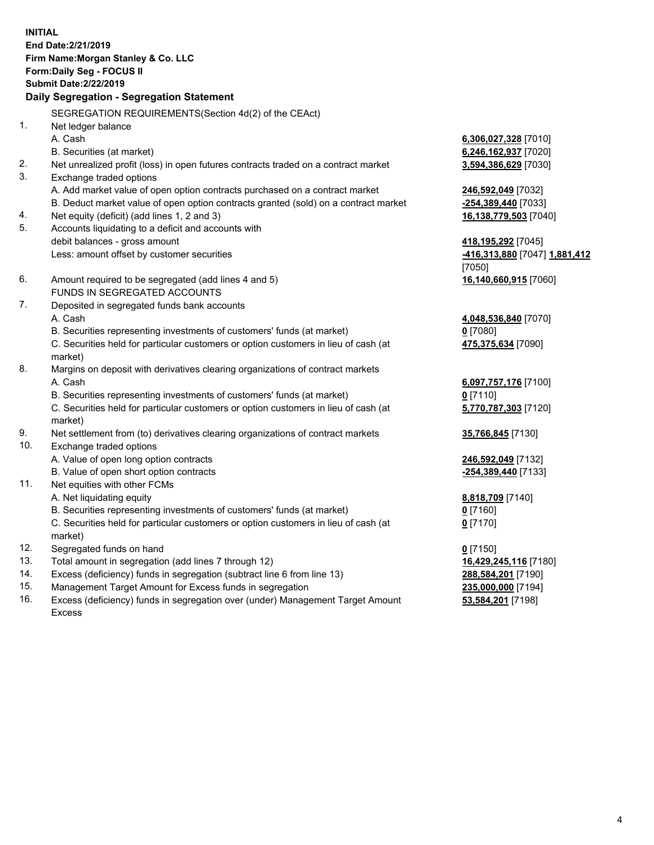**INITIAL End Date:2/21/2019 Firm Name:Morgan Stanley & Co. LLC Form:Daily Seg - FOCUS II Submit Date:2/22/2019 Daily Segregation - Segregation Statement** SEGREGATION REQUIREMENTS(Section 4d(2) of the CEAct) 1. Net ledger balance A. Cash **6,306,027,328** [7010] B. Securities (at market) **6,246,162,937** [7020] 2. Net unrealized profit (loss) in open futures contracts traded on a contract market **3,594,386,629** [7030] 3. Exchange traded options A. Add market value of open option contracts purchased on a contract market **246,592,049** [7032] B. Deduct market value of open option contracts granted (sold) on a contract market **-254,389,440** [7033] 4. Net equity (deficit) (add lines 1, 2 and 3) **16,138,779,503** [7040] 5. Accounts liquidating to a deficit and accounts with debit balances - gross amount **418,195,292** [7045] Less: amount offset by customer securities **-416,313,880** [7047] **1,881,412** [7050] 6. Amount required to be segregated (add lines 4 and 5) **16,140,660,915** [7060] FUNDS IN SEGREGATED ACCOUNTS 7. Deposited in segregated funds bank accounts A. Cash **4,048,536,840** [7070] B. Securities representing investments of customers' funds (at market) **0** [7080] C. Securities held for particular customers or option customers in lieu of cash (at market) **475,375,634** [7090] 8. Margins on deposit with derivatives clearing organizations of contract markets A. Cash **6,097,757,176** [7100] B. Securities representing investments of customers' funds (at market) **0** [7110] C. Securities held for particular customers or option customers in lieu of cash (at market) **5,770,787,303** [7120] 9. Net settlement from (to) derivatives clearing organizations of contract markets **35,766,845** [7130] 10. Exchange traded options A. Value of open long option contracts **246,592,049** [7132] B. Value of open short option contracts **-254,389,440** [7133] 11. Net equities with other FCMs A. Net liquidating equity **8,818,709** [7140] B. Securities representing investments of customers' funds (at market) **0** [7160] C. Securities held for particular customers or option customers in lieu of cash (at market) **0** [7170] 12. Segregated funds on hand **0** [7150] 13. Total amount in segregation (add lines 7 through 12) **16,429,245,116** [7180] 14. Excess (deficiency) funds in segregation (subtract line 6 from line 13) **288,584,201** [7190]

- 15. Management Target Amount for Excess funds in segregation **235,000,000** [7194]
- 16. Excess (deficiency) funds in segregation over (under) Management Target Amount Excess

**53,584,201** [7198]